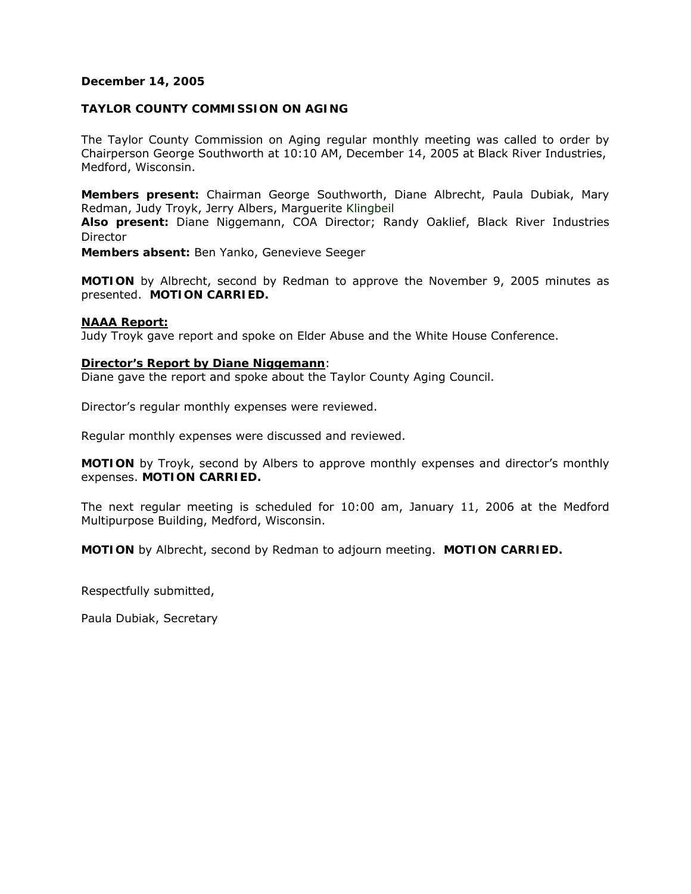## **December 14, 2005**

## **TAYLOR COUNTY COMMISSION ON AGING**

The Taylor County Commission on Aging regular monthly meeting was called to order by Chairperson George Southworth at 10:10 AM, December 14, 2005 at Black River Industries, Medford, Wisconsin.

**Members present:** Chairman George Southworth, Diane Albrecht, Paula Dubiak, Mary Redman, Judy Troyk, Jerry Albers, Marguerite Klingbeil

**Also present:** Diane Niggemann, COA Director; Randy Oaklief, Black River Industries Director

**Members absent:** Ben Yanko, Genevieve Seeger

**MOTION** by Albrecht, second by Redman to approve the November 9, 2005 minutes as presented. **MOTION CARRIED.** 

### **NAAA Report:**

Judy Troyk gave report and spoke on Elder Abuse and the White House Conference.

#### **Director's Report by Diane Niggemann**:

Diane gave the report and spoke about the Taylor County Aging Council.

Director's regular monthly expenses were reviewed.

Regular monthly expenses were discussed and reviewed.

**MOTION** by Troyk, second by Albers to approve monthly expenses and director's monthly expenses. **MOTION CARRIED.** 

The next regular meeting is scheduled for 10:00 am, January 11, 2006 at the Medford Multipurpose Building, Medford, Wisconsin.

**MOTION** by Albrecht, second by Redman to adjourn meeting. **MOTION CARRIED.** 

Respectfully submitted,

Paula Dubiak, Secretary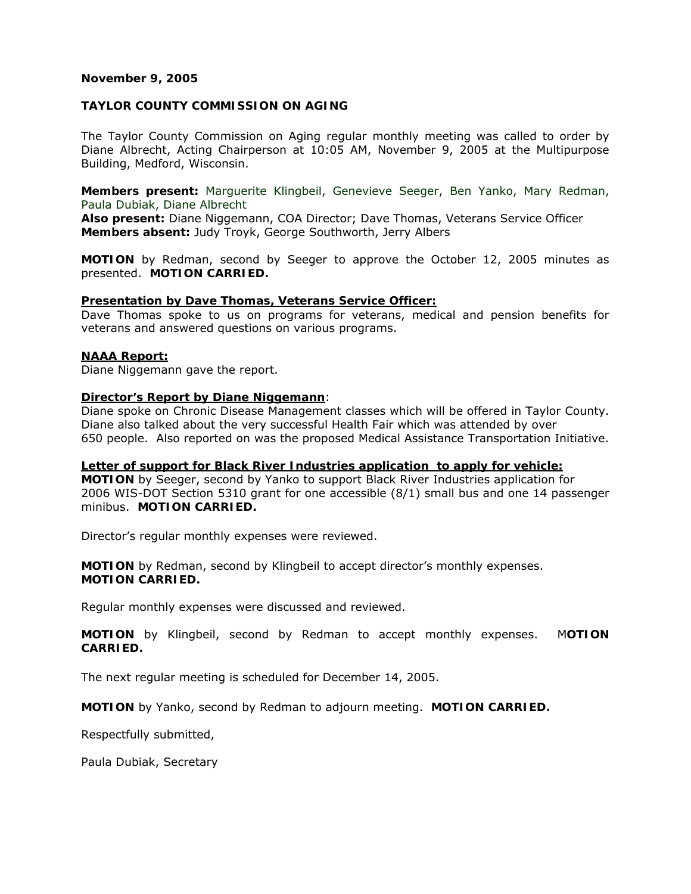### **November 9, 2005**

## **TAYLOR COUNTY COMMISSION ON AGING**

The Taylor County Commission on Aging regular monthly meeting was called to order by Diane Albrecht, Acting Chairperson at 10:05 AM, November 9, 2005 at the Multipurpose Building, Medford, Wisconsin.

**Members present:** Marguerite Klingbeil, Genevieve Seeger, Ben Yanko, Mary Redman, Paula Dubiak, Diane Albrecht

**Also present:** Diane Niggemann, COA Director; Dave Thomas, Veterans Service Officer **Members absent:** Judy Troyk, George Southworth, Jerry Albers

**MOTION** by Redman, second by Seeger to approve the October 12, 2005 minutes as presented. **MOTION CARRIED.** 

### **Presentation by Dave Thomas, Veterans Service Officer:**

Dave Thomas spoke to us on programs for veterans, medical and pension benefits for veterans and answered questions on various programs.

#### **NAAA Report:**

Diane Niggemann gave the report.

## **Director's Report by Diane Niggemann**:

Diane spoke on Chronic Disease Management classes which will be offered in Taylor County. Diane also talked about the very successful Health Fair which was attended by over 650 people. Also reported on was the proposed Medical Assistance Transportation Initiative.

### **Letter of support for Black River Industries application to apply for vehicle:**

**MOTION** by Seeger, second by Yanko to support Black River Industries application for 2006 WIS-DOT Section 5310 grant for one accessible (8/1) small bus and one 14 passenger minibus. **MOTION CARRIED.**

Director's regular monthly expenses were reviewed.

**MOTION** by Redman, second by Klingbeil to accept director's monthly expenses. **MOTION CARRIED.** 

Regular monthly expenses were discussed and reviewed.

**MOTION** by Klingbeil, second by Redman to accept monthly expenses. M**OTION CARRIED.** 

The next regular meeting is scheduled for December 14, 2005.

**MOTION** by Yanko, second by Redman to adjourn meeting. **MOTION CARRIED.** 

Respectfully submitted,

Paula Dubiak, Secretary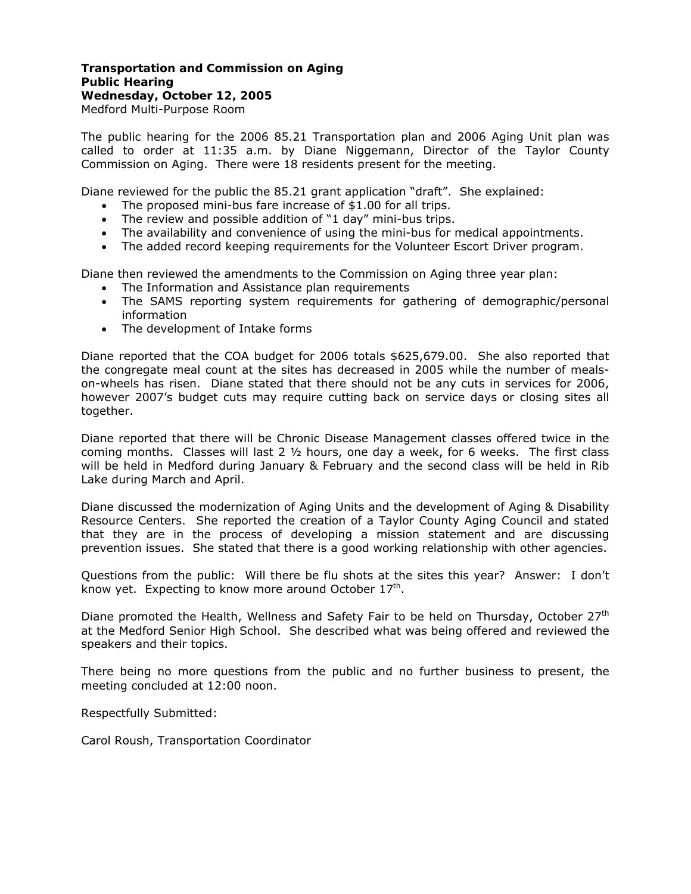## **Transportation and Commission on Aging Public Hearing Wednesday, October 12, 2005**  Medford Multi-Purpose Room

The public hearing for the 2006 85.21 Transportation plan and 2006 Aging Unit plan was called to order at 11:35 a.m. by Diane Niggemann, Director of the Taylor County Commission on Aging. There were 18 residents present for the meeting.

Diane reviewed for the public the 85.21 grant application "draft". She explained:

- The proposed mini-bus fare increase of \$1.00 for all trips.
- The review and possible addition of "1 day" mini-bus trips.
- The availability and convenience of using the mini-bus for medical appointments.
- The added record keeping requirements for the Volunteer Escort Driver program.

Diane then reviewed the amendments to the Commission on Aging three year plan:

- The Information and Assistance plan requirements
- The SAMS reporting system requirements for gathering of demographic/personal information
- The development of Intake forms

Diane reported that the COA budget for 2006 totals \$625,679.00. She also reported that the congregate meal count at the sites has decreased in 2005 while the number of mealson-wheels has risen. Diane stated that there should not be any cuts in services for 2006, however 2007's budget cuts may require cutting back on service days or closing sites all together.

Diane reported that there will be Chronic Disease Management classes offered twice in the coming months. Classes will last 2  $\frac{1}{2}$  hours, one day a week, for 6 weeks. The first class will be held in Medford during January & February and the second class will be held in Rib Lake during March and April.

Diane discussed the modernization of Aging Units and the development of Aging & Disability Resource Centers. She reported the creation of a Taylor County Aging Council and stated that they are in the process of developing a mission statement and are discussing prevention issues. She stated that there is a good working relationship with other agencies.

Questions from the public: Will there be flu shots at the sites this year? Answer: I don't know yet. Expecting to know more around October  $17<sup>th</sup>$ .

Diane promoted the Health, Wellness and Safety Fair to be held on Thursday, October 27<sup>th</sup> at the Medford Senior High School. She described what was being offered and reviewed the speakers and their topics.

There being no more questions from the public and no further business to present, the meeting concluded at 12:00 noon.

Respectfully Submitted:

Carol Roush, Transportation Coordinator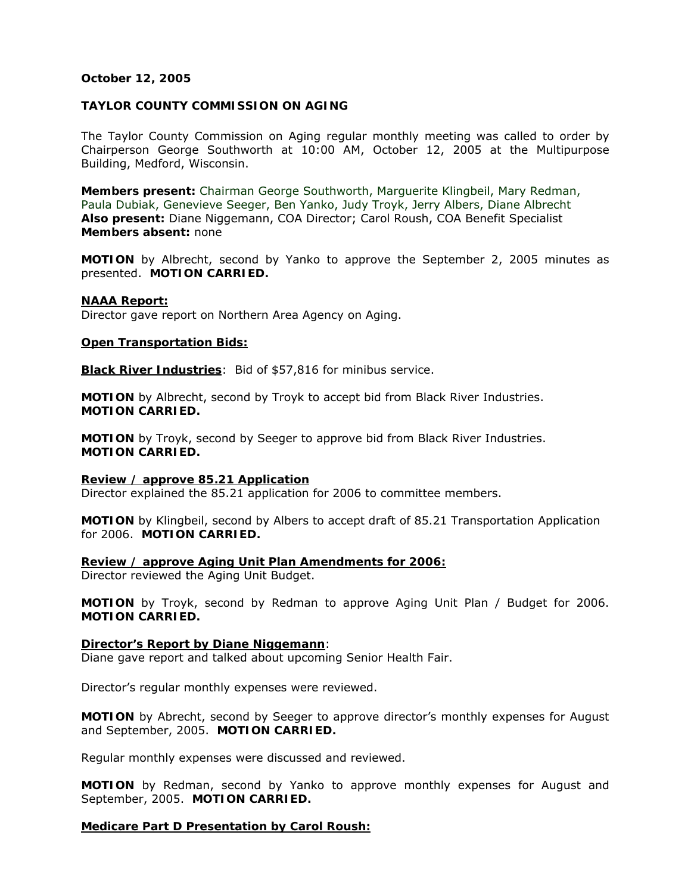## **October 12, 2005**

## **TAYLOR COUNTY COMMISSION ON AGING**

The Taylor County Commission on Aging regular monthly meeting was called to order by Chairperson George Southworth at 10:00 AM, October 12, 2005 at the Multipurpose Building, Medford, Wisconsin.

**Members present:** Chairman George Southworth, Marguerite Klingbeil, Mary Redman, Paula Dubiak, Genevieve Seeger, Ben Yanko, Judy Troyk, Jerry Albers, Diane Albrecht **Also present:** Diane Niggemann, COA Director; Carol Roush, COA Benefit Specialist **Members absent:** none

**MOTION** by Albrecht, second by Yanko to approve the September 2, 2005 minutes as presented. **MOTION CARRIED.** 

#### **NAAA Report:**

Director gave report on Northern Area Agency on Aging.

#### **Open Transportation Bids:**

**Black River Industries**: Bid of \$57,816 for minibus service.

**MOTION** by Albrecht, second by Troyk to accept bid from Black River Industries. **MOTION CARRIED.** 

**MOTION** by Troyk, second by Seeger to approve bid from Black River Industries. **MOTION CARRIED.** 

**Review / approve 85.21 Application** Director explained the 85.21 application for 2006 to committee members.

**MOTION** by Klingbeil, second by Albers to accept draft of 85.21 Transportation Application for 2006. **MOTION CARRIED.** 

**Review / approve Aging Unit Plan Amendments for 2006:**  Director reviewed the Aging Unit Budget.

**MOTION** by Troyk, second by Redman to approve Aging Unit Plan / Budget for 2006. **MOTION CARRIED.**

### **Director's Report by Diane Niggemann**:

Diane gave report and talked about upcoming Senior Health Fair.

Director's regular monthly expenses were reviewed.

**MOTION** by Abrecht, second by Seeger to approve director's monthly expenses for August and September, 2005. **MOTION CARRIED.** 

Regular monthly expenses were discussed and reviewed.

**MOTION** by Redman, second by Yanko to approve monthly expenses for August and September, 2005. **MOTION CARRIED.** 

### **Medicare Part D Presentation by Carol Roush:**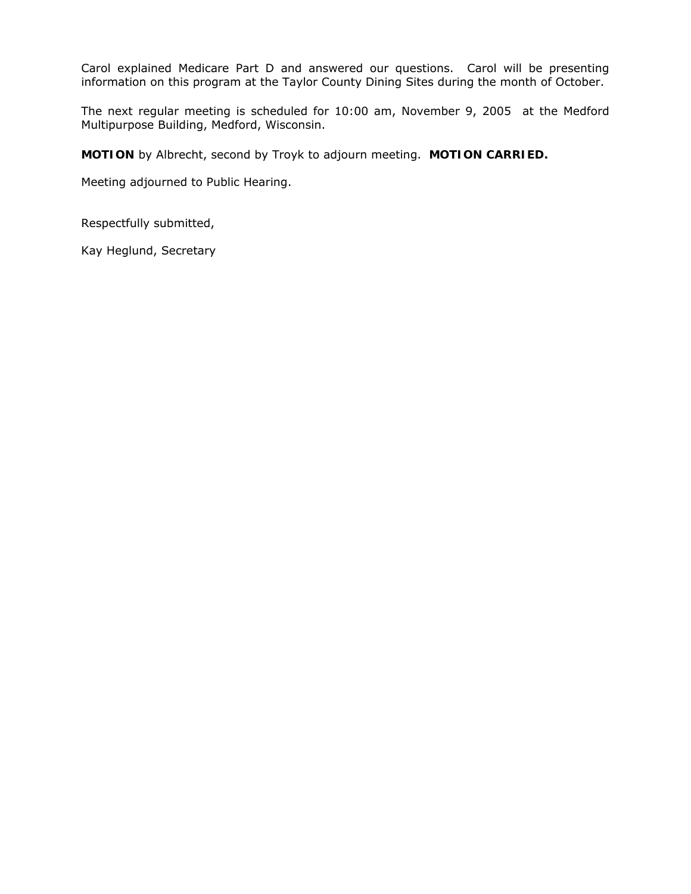Carol explained Medicare Part D and answered our questions. Carol will be presenting information on this program at the Taylor County Dining Sites during the month of October.

The next regular meeting is scheduled for 10:00 am, November 9, 2005 at the Medford Multipurpose Building, Medford, Wisconsin.

**MOTION** by Albrecht, second by Troyk to adjourn meeting. **MOTION CARRIED.** 

Meeting adjourned to Public Hearing.

Respectfully submitted,

Kay Heglund, Secretary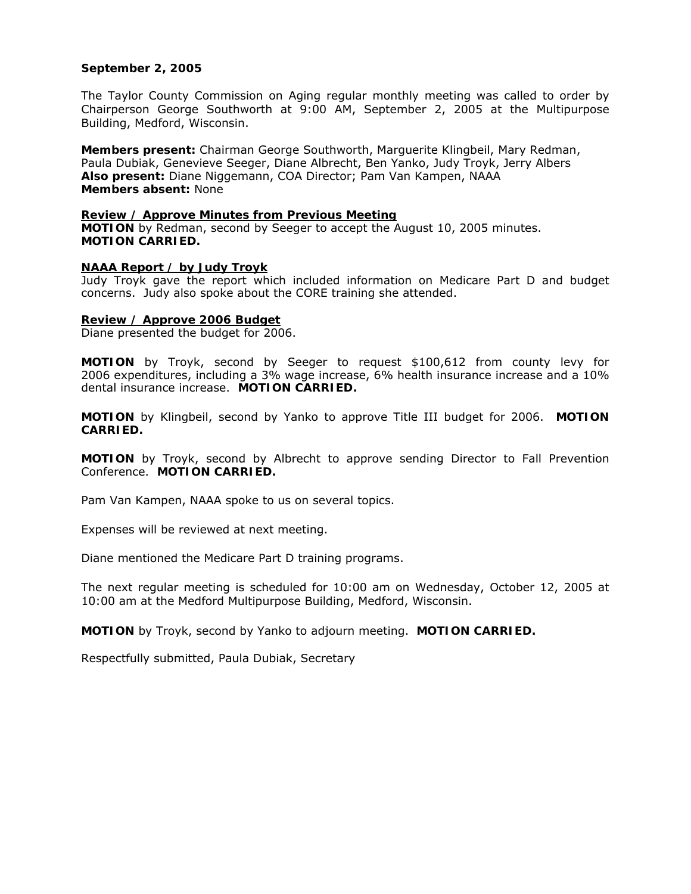## **September 2, 2005**

The Taylor County Commission on Aging regular monthly meeting was called to order by Chairperson George Southworth at 9:00 AM, September 2, 2005 at the Multipurpose Building, Medford, Wisconsin.

**Members present:** Chairman George Southworth, Marguerite Klingbeil, Mary Redman, Paula Dubiak, Genevieve Seeger, Diane Albrecht, Ben Yanko, Judy Troyk, Jerry Albers **Also present:** Diane Niggemann, COA Director; Pam Van Kampen, NAAA **Members absent:** None

#### **Review / Approve Minutes from Previous Meeting**

**MOTION** by Redman, second by Seeger to accept the August 10, 2005 minutes. **MOTION CARRIED.**

#### **NAAA Report / by Judy Troyk**

Judy Troyk gave the report which included information on Medicare Part D and budget concerns. Judy also spoke about the CORE training she attended.

#### **Review / Approve 2006 Budget**

Diane presented the budget for 2006.

**MOTION** by Troyk, second by Seeger to request \$100,612 from county levy for 2006 expenditures, including a 3% wage increase, 6% health insurance increase and a 10% dental insurance increase. **MOTION CARRIED.** 

**MOTION** by Klingbeil, second by Yanko to approve Title III budget for 2006. **MOTION CARRIED.** 

**MOTION** by Troyk, second by Albrecht to approve sending Director to Fall Prevention Conference. **MOTION CARRIED.** 

Pam Van Kampen, NAAA spoke to us on several topics.

Expenses will be reviewed at next meeting.

Diane mentioned the Medicare Part D training programs.

The next regular meeting is scheduled for 10:00 am on Wednesday, October 12, 2005 at 10:00 am at the Medford Multipurpose Building, Medford, Wisconsin.

**MOTION** by Troyk, second by Yanko to adjourn meeting. **MOTION CARRIED.**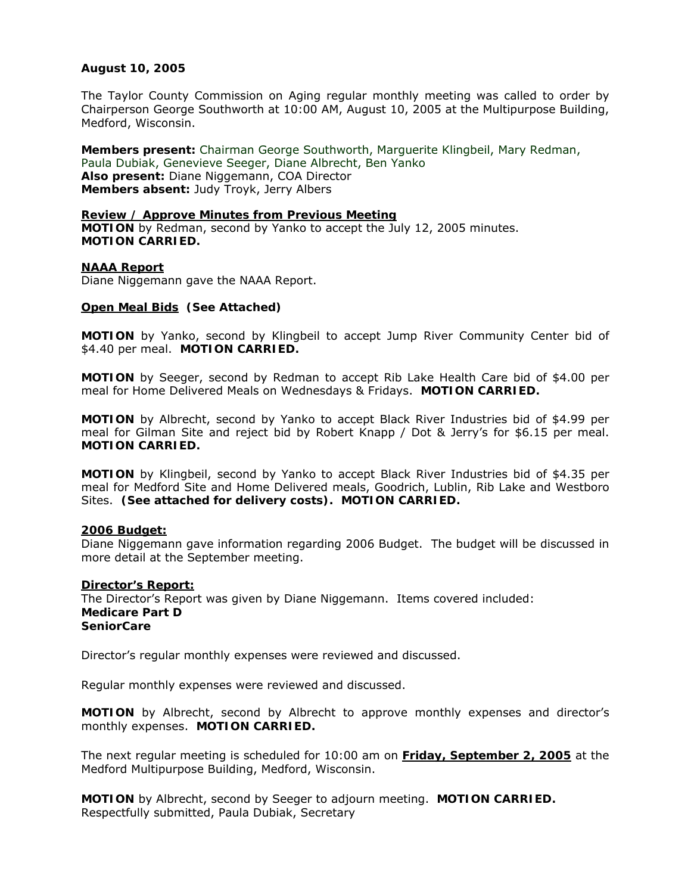## **August 10, 2005**

The Taylor County Commission on Aging regular monthly meeting was called to order by Chairperson George Southworth at 10:00 AM, August 10, 2005 at the Multipurpose Building, Medford, Wisconsin.

**Members present:** Chairman George Southworth, Marguerite Klingbeil, Mary Redman, Paula Dubiak, Genevieve Seeger, Diane Albrecht, Ben Yanko **Also present:** Diane Niggemann, COA Director **Members absent:** Judy Troyk, Jerry Albers

### **Review / Approve Minutes from Previous Meeting MOTION** by Redman, second by Yanko to accept the July 12, 2005 minutes. **MOTION CARRIED.**

### **NAAA Report**

Diane Niggemann gave the NAAA Report.

### **Open Meal Bids****(See Attached)**

**MOTION** by Yanko, second by Klingbeil to accept Jump River Community Center bid of \$4.40 per meal. **MOTION CARRIED.** 

**MOTION** by Seeger, second by Redman to accept Rib Lake Health Care bid of \$4.00 per meal for Home Delivered Meals on Wednesdays & Fridays. **MOTION CARRIED.** 

**MOTION** by Albrecht, second by Yanko to accept Black River Industries bid of \$4.99 per meal for Gilman Site and reject bid by Robert Knapp / Dot & Jerry's for \$6.15 per meal. **MOTION CARRIED.** 

**MOTION** by Klingbeil, second by Yanko to accept Black River Industries bid of \$4.35 per meal for Medford Site and Home Delivered meals, Goodrich, Lublin, Rib Lake and Westboro Sites. **(See attached for delivery costs). MOTION CARRIED.** 

#### **2006 Budget:**

Diane Niggemann gave information regarding 2006 Budget. The budget will be discussed in more detail at the September meeting.

#### **Director's Report:** The Director's Report was given by Diane Niggemann. Items covered included: **Medicare Part D SeniorCare**

Director's regular monthly expenses were reviewed and discussed.

Regular monthly expenses were reviewed and discussed.

**MOTION** by Albrecht, second by Albrecht to approve monthly expenses and director's monthly expenses. **MOTION CARRIED.** 

The next regular meeting is scheduled for 10:00 am on **Friday, September 2, 2005** at the Medford Multipurpose Building, Medford, Wisconsin.

**MOTION** by Albrecht, second by Seeger to adjourn meeting. **MOTION CARRIED.**  Respectfully submitted, Paula Dubiak, Secretary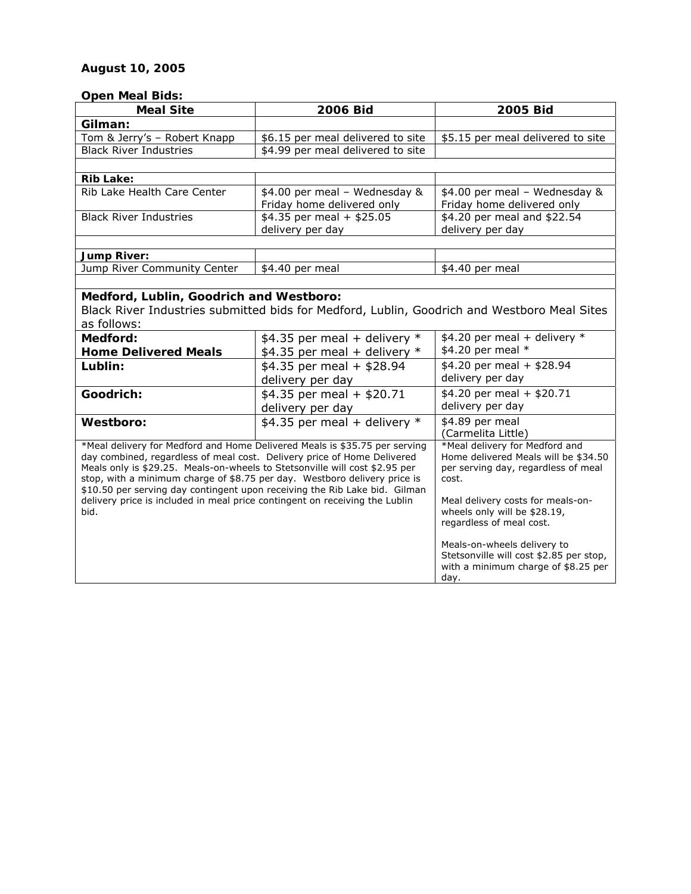# **August 10, 2005**

## **Open Meal Bids:**

| <b>Meal Site</b>                                                                                                                                        | 2006 Bid                          | 2005 Bid                                                               |
|---------------------------------------------------------------------------------------------------------------------------------------------------------|-----------------------------------|------------------------------------------------------------------------|
| Gilman:                                                                                                                                                 |                                   |                                                                        |
| Tom & Jerry's - Robert Knapp                                                                                                                            | \$6.15 per meal delivered to site | \$5.15 per meal delivered to site                                      |
| <b>Black River Industries</b>                                                                                                                           | \$4.99 per meal delivered to site |                                                                        |
|                                                                                                                                                         |                                   |                                                                        |
| <b>Rib Lake:</b>                                                                                                                                        |                                   |                                                                        |
| Rib Lake Health Care Center                                                                                                                             | \$4.00 per meal - Wednesday &     | \$4.00 per meal - Wednesday &                                          |
|                                                                                                                                                         | Friday home delivered only        | Friday home delivered only                                             |
| <b>Black River Industries</b>                                                                                                                           | $$4.35$ per meal + \$25.05        | \$4.20 per meal and \$22.54                                            |
|                                                                                                                                                         | delivery per day                  | delivery per day                                                       |
|                                                                                                                                                         |                                   |                                                                        |
| <b>Jump River:</b><br>Jump River Community Center                                                                                                       |                                   |                                                                        |
|                                                                                                                                                         | \$4.40 per meal                   | \$4.40 per meal                                                        |
| Medford, Lublin, Goodrich and Westboro:                                                                                                                 |                                   |                                                                        |
| Black River Industries submitted bids for Medford, Lublin, Goodrich and Westboro Meal Sites                                                             |                                   |                                                                        |
| as follows:                                                                                                                                             |                                   |                                                                        |
| Medford:                                                                                                                                                | \$4.35 per meal + delivery $*$    | \$4.20 per meal + delivery $*$                                         |
| <b>Home Delivered Meals</b>                                                                                                                             | \$4.35 per meal + delivery $*$    | \$4.20 per meal *                                                      |
| Lublin:                                                                                                                                                 | $$4.35$ per meal + \$28.94        | \$4.20 per meal + \$28.94                                              |
|                                                                                                                                                         | delivery per day                  | delivery per day                                                       |
| Goodrich:                                                                                                                                               | $$4.35$ per meal + \$20.71        | $$4.20$ per meal + \$20.71                                             |
|                                                                                                                                                         | delivery per day                  | delivery per day                                                       |
| Westboro:                                                                                                                                               | \$4.35 per meal + delivery $*$    | \$4.89 per meal                                                        |
|                                                                                                                                                         |                                   | (Carmelita Little)                                                     |
| *Meal delivery for Medford and Home Delivered Meals is \$35.75 per serving                                                                              |                                   | *Meal delivery for Medford and                                         |
| day combined, regardless of meal cost. Delivery price of Home Delivered                                                                                 |                                   | Home delivered Meals will be \$34.50                                   |
| Meals only is \$29.25. Meals-on-wheels to Stetsonville will cost \$2.95 per                                                                             |                                   | per serving day, regardless of meal                                    |
| stop, with a minimum charge of \$8.75 per day. Westboro delivery price is<br>\$10.50 per serving day contingent upon receiving the Rib Lake bid. Gilman |                                   | cost.                                                                  |
| delivery price is included in meal price contingent on receiving the Lublin                                                                             |                                   | Meal delivery costs for meals-on-                                      |
| bid.                                                                                                                                                    |                                   | wheels only will be \$28.19,                                           |
|                                                                                                                                                         |                                   | regardless of meal cost.                                               |
|                                                                                                                                                         |                                   |                                                                        |
|                                                                                                                                                         |                                   | Meals-on-wheels delivery to<br>Stetsonville will cost \$2.85 per stop, |
|                                                                                                                                                         |                                   | with a minimum charge of \$8.25 per                                    |
|                                                                                                                                                         |                                   | day.                                                                   |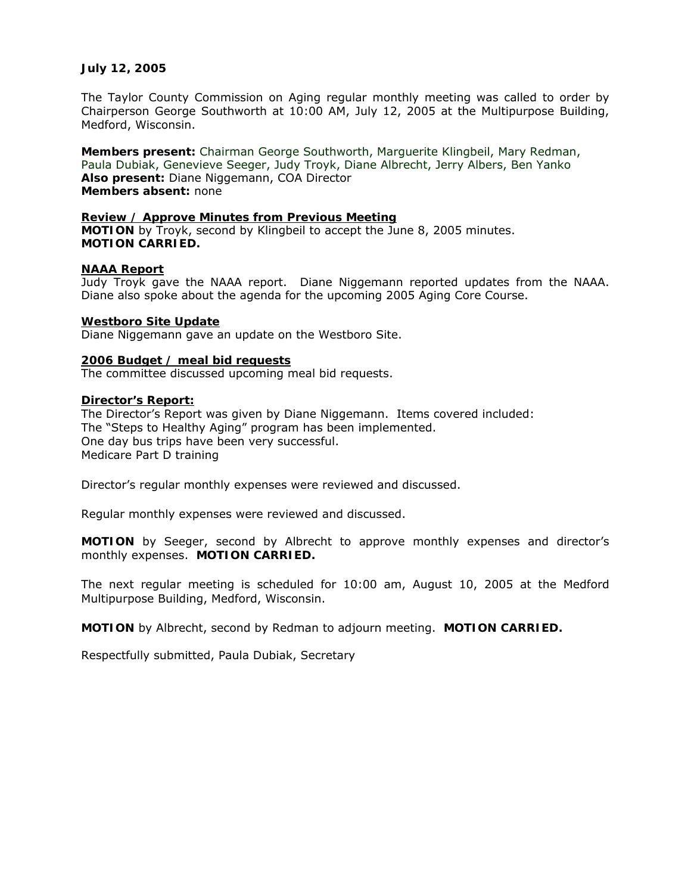## **July 12, 2005**

The Taylor County Commission on Aging regular monthly meeting was called to order by Chairperson George Southworth at 10:00 AM, July 12, 2005 at the Multipurpose Building, Medford, Wisconsin.

**Members present:** Chairman George Southworth, Marguerite Klingbeil, Mary Redman, Paula Dubiak, Genevieve Seeger, Judy Troyk, Diane Albrecht, Jerry Albers, Ben Yanko **Also present:** Diane Niggemann, COA Director **Members absent:** none

#### **Review / Approve Minutes from Previous Meeting**

**MOTION** by Troyk, second by Klingbeil to accept the June 8, 2005 minutes. **MOTION CARRIED.**

#### **NAAA Report**

Judy Troyk gave the NAAA report. Diane Niggemann reported updates from the NAAA. Diane also spoke about the agenda for the upcoming 2005 Aging Core Course.

#### **Westboro Site Update**

Diane Niggemann gave an update on the Westboro Site.

#### **2006 Budget / meal bid requests**

The committee discussed upcoming meal bid requests.

#### **Director's Report:**

The Director's Report was given by Diane Niggemann. Items covered included: The "Steps to Healthy Aging" program has been implemented. One day bus trips have been very successful. Medicare Part D training

Director's regular monthly expenses were reviewed and discussed.

Regular monthly expenses were reviewed and discussed.

**MOTION** by Seeger, second by Albrecht to approve monthly expenses and director's monthly expenses. **MOTION CARRIED.** 

The next regular meeting is scheduled for 10:00 am, August 10, 2005 at the Medford Multipurpose Building, Medford, Wisconsin.

**MOTION** by Albrecht, second by Redman to adjourn meeting. **MOTION CARRIED.**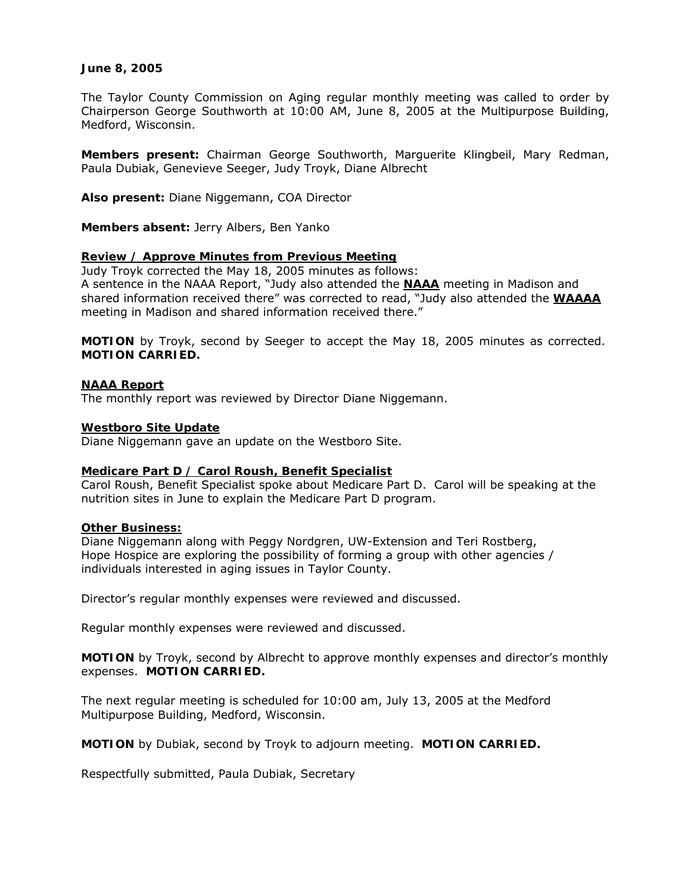## **June 8, 2005**

The Taylor County Commission on Aging regular monthly meeting was called to order by Chairperson George Southworth at 10:00 AM, June 8, 2005 at the Multipurpose Building, Medford, Wisconsin.

**Members present:** Chairman George Southworth, Marguerite Klingbeil, Mary Redman, Paula Dubiak, Genevieve Seeger, Judy Troyk, Diane Albrecht

**Also present:** Diane Niggemann, COA Director

**Members absent:** Jerry Albers, Ben Yanko

## **Review / Approve Minutes from Previous Meeting**

Judy Troyk corrected the May 18, 2005 minutes as follows: A sentence in the NAAA Report, "Judy also attended the *NAAA* meeting in Madison and shared information received there" was corrected to read, "Judy also attended the *WAAAA* meeting in Madison and shared information received there."

**MOTION** by Troyk, second by Seeger to accept the May 18, 2005 minutes as corrected. **MOTION CARRIED.**

## **NAAA Report**

The monthly report was reviewed by Director Diane Niggemann.

### **Westboro Site Update**

Diane Niggemann gave an update on the Westboro Site.

### **Medicare Part D / Carol Roush, Benefit Specialist**

Carol Roush, Benefit Specialist spoke about Medicare Part D. Carol will be speaking at the nutrition sites in June to explain the Medicare Part D program.

### **Other Business:**

Diane Niggemann along with Peggy Nordgren, UW-Extension and Teri Rostberg, Hope Hospice are exploring the possibility of forming a group with other agencies / individuals interested in aging issues in Taylor County.

Director's regular monthly expenses were reviewed and discussed.

Regular monthly expenses were reviewed and discussed.

**MOTION** by Troyk, second by Albrecht to approve monthly expenses and director's monthly expenses. **MOTION CARRIED.**

The next regular meeting is scheduled for 10:00 am, July 13, 2005 at the Medford Multipurpose Building, Medford, Wisconsin.

**MOTION** by Dubiak, second by Troyk to adjourn meeting. **MOTION CARRIED.**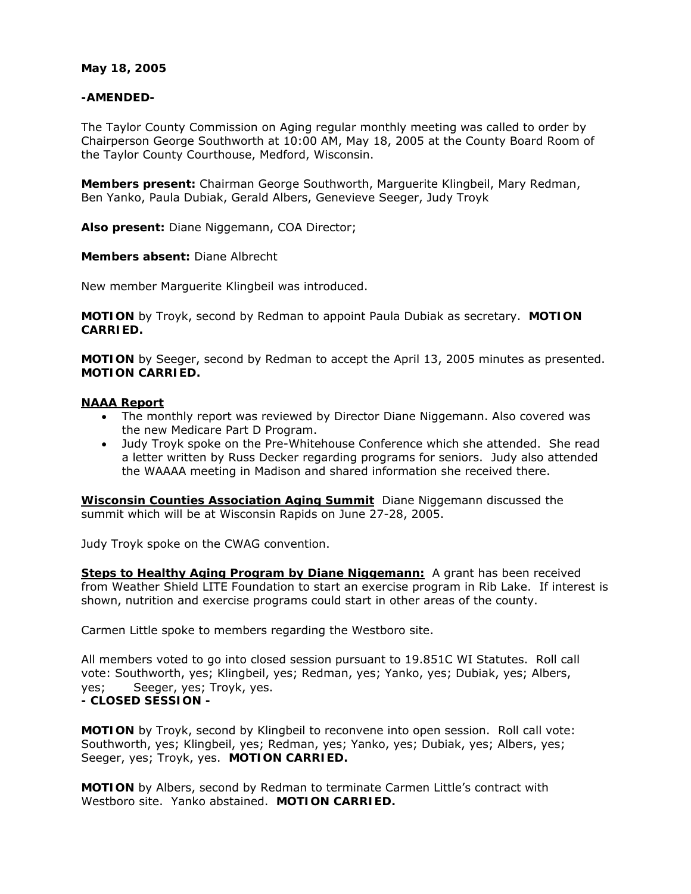## **May 18, 2005**

## **-AMENDED-**

The Taylor County Commission on Aging regular monthly meeting was called to order by Chairperson George Southworth at 10:00 AM, May 18, 2005 at the County Board Room of the Taylor County Courthouse, Medford, Wisconsin.

**Members present:** Chairman George Southworth, Marguerite Klingbeil, Mary Redman, Ben Yanko, Paula Dubiak, Gerald Albers, Genevieve Seeger, Judy Troyk

**Also present:** Diane Niggemann, COA Director;

## **Members absent:** Diane Albrecht

New member Marguerite Klingbeil was introduced.

**MOTION** by Troyk, second by Redman to appoint Paula Dubiak as secretary. **MOTION CARRIED.**

**MOTION** by Seeger, second by Redman to accept the April 13, 2005 minutes as presented. **MOTION CARRIED.**

### **NAAA Report**

- The monthly report was reviewed by Director Diane Niggemann. Also covered was the new Medicare Part D Program.
- Judy Troyk spoke on the Pre-Whitehouse Conference which she attended. She read a letter written by Russ Decker regarding programs for seniors. Judy also attended the WAAAA meeting in Madison and shared information she received there.

**Wisconsin Counties Association Aging Summit** Diane Niggemann discussed the summit which will be at Wisconsin Rapids on June 27-28, 2005.

Judy Troyk spoke on the CWAG convention.

**Steps to Healthy Aging Program by Diane Niggemann:** A grant has been received from Weather Shield LITE Foundation to start an exercise program in Rib Lake. If interest is shown, nutrition and exercise programs could start in other areas of the county.

Carmen Little spoke to members regarding the Westboro site.

All members voted to go into closed session pursuant to 19.851C WI Statutes. Roll call vote: Southworth, yes; Klingbeil, yes; Redman, yes; Yanko, yes; Dubiak, yes; Albers, yes; Seeger, yes; Troyk, yes. **- CLOSED SESSION -**

**MOTION** by Troyk, second by Klingbeil to reconvene into open session. Roll call vote: Southworth, yes; Klingbeil, yes; Redman, yes; Yanko, yes; Dubiak, yes; Albers, yes; Seeger, yes; Troyk, yes. **MOTION CARRIED.**

**MOTION** by Albers, second by Redman to terminate Carmen Little's contract with Westboro site. Yanko abstained. **MOTION CARRIED.**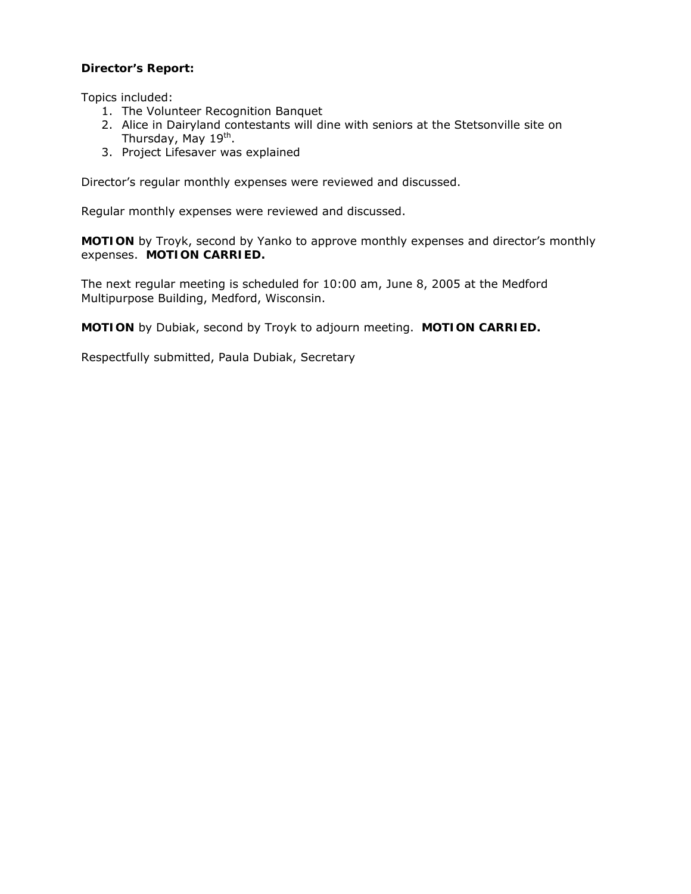## **Director's Report:**

Topics included:

- 1. The Volunteer Recognition Banquet
- 2. Alice in Dairyland contestants will dine with seniors at the Stetsonville site on Thursday, May 19<sup>th</sup>.
- 3. Project Lifesaver was explained

Director's regular monthly expenses were reviewed and discussed.

Regular monthly expenses were reviewed and discussed.

**MOTION** by Troyk, second by Yanko to approve monthly expenses and director's monthly expenses. **MOTION CARRIED.**

The next regular meeting is scheduled for 10:00 am, June 8, 2005 at the Medford Multipurpose Building, Medford, Wisconsin.

**MOTION** by Dubiak, second by Troyk to adjourn meeting. **MOTION CARRIED.**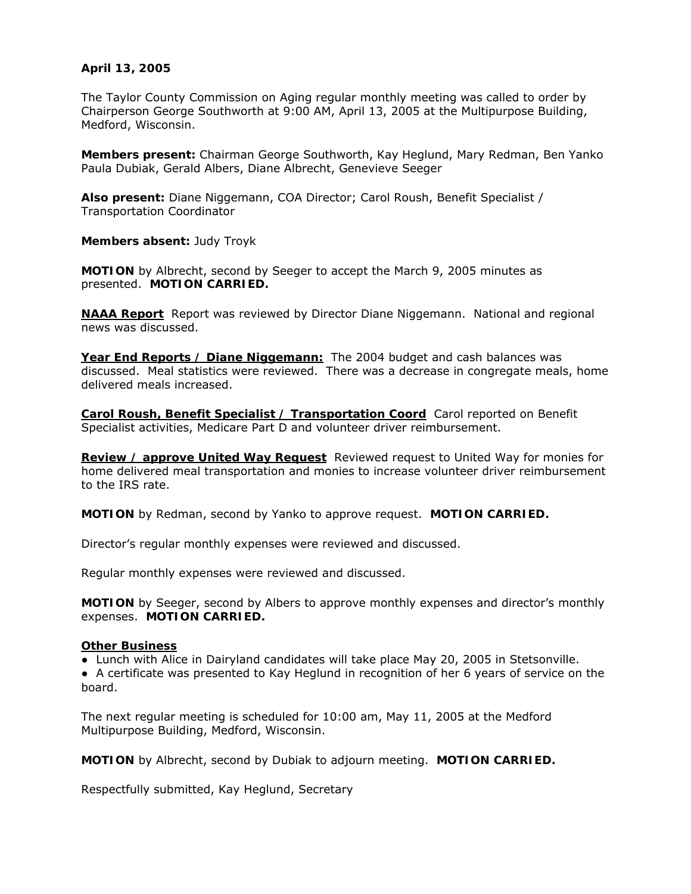## **April 13, 2005**

The Taylor County Commission on Aging regular monthly meeting was called to order by Chairperson George Southworth at 9:00 AM, April 13, 2005 at the Multipurpose Building, Medford, Wisconsin.

**Members present:** Chairman George Southworth, Kay Heglund, Mary Redman, Ben Yanko Paula Dubiak, Gerald Albers, Diane Albrecht, Genevieve Seeger

**Also present:** Diane Niggemann, COA Director; Carol Roush, Benefit Specialist / Transportation Coordinator

**Members absent:** Judy Troyk

**MOTION** by Albrecht, second by Seeger to accept the March 9, 2005 minutes as presented. **MOTION CARRIED.** 

**NAAA Report** Report was reviewed by Director Diane Niggemann. National and regional news was discussed.

**Year End Reports / Diane Niggemann:** The 2004 budget and cash balances was discussed. Meal statistics were reviewed. There was a decrease in congregate meals, home delivered meals increased.

**Carol Roush, Benefit Specialist / Transportation Coord** Carol reported on Benefit Specialist activities, Medicare Part D and volunteer driver reimbursement.

**Review / approve United Way Request** Reviewed request to United Way for monies for home delivered meal transportation and monies to increase volunteer driver reimbursement to the IRS rate.

**MOTION** by Redman, second by Yanko to approve request. **MOTION CARRIED.**

Director's regular monthly expenses were reviewed and discussed.

Regular monthly expenses were reviewed and discussed.

**MOTION** by Seeger, second by Albers to approve monthly expenses and director's monthly expenses. **MOTION CARRIED.**

### **Other Business**

● Lunch with Alice in Dairyland candidates will take place May 20, 2005 in Stetsonville.

● A certificate was presented to Kay Heglund in recognition of her 6 years of service on the board.

The next regular meeting is scheduled for 10:00 am, May 11, 2005 at the Medford Multipurpose Building, Medford, Wisconsin.

**MOTION** by Albrecht, second by Dubiak to adjourn meeting. **MOTION CARRIED.**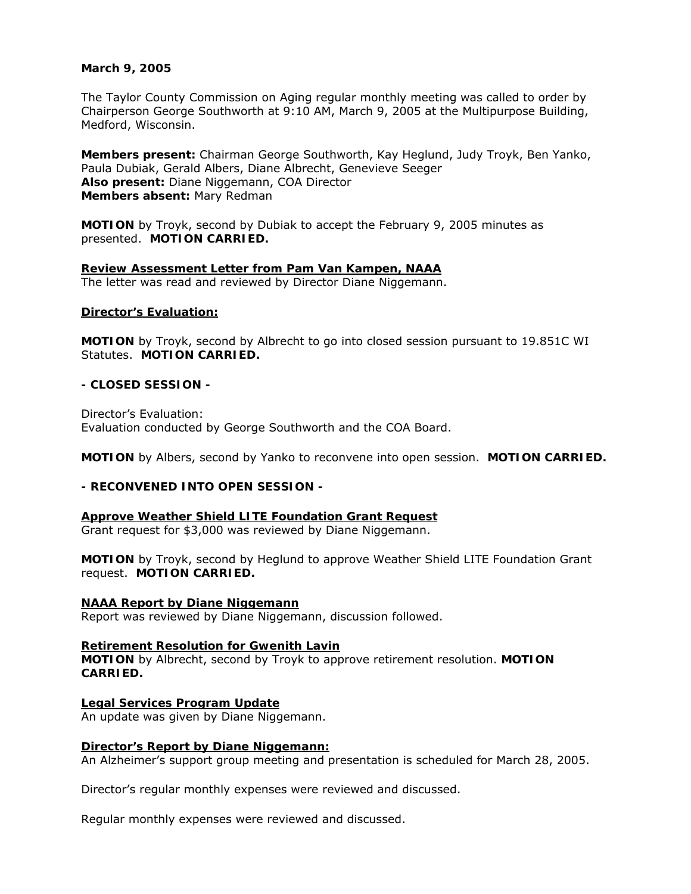## **March 9, 2005**

The Taylor County Commission on Aging regular monthly meeting was called to order by Chairperson George Southworth at 9:10 AM, March 9, 2005 at the Multipurpose Building, Medford, Wisconsin.

**Members present:** Chairman George Southworth, Kay Heglund, Judy Troyk, Ben Yanko, Paula Dubiak, Gerald Albers, Diane Albrecht, Genevieve Seeger **Also present:** Diane Niggemann, COA Director **Members absent:** Mary Redman

**MOTION** by Troyk, second by Dubiak to accept the February 9, 2005 minutes as presented. **MOTION CARRIED.**

#### **Review Assessment Letter from Pam Van Kampen, NAAA** The letter was read and reviewed by Director Diane Niggemann.

### **Director's Evaluation:**

**MOTION** by Troyk, second by Albrecht to go into closed session pursuant to 19.851C WI Statutes. **MOTION CARRIED.**

## **- CLOSED SESSION -**

Director's Evaluation: Evaluation conducted by George Southworth and the COA Board.

**MOTION** by Albers, second by Yanko to reconvene into open session. **MOTION CARRIED.**

## **- RECONVENED INTO OPEN SESSION -**

### **Approve Weather Shield LITE Foundation Grant Request**

Grant request for \$3,000 was reviewed by Diane Niggemann.

**MOTION** by Troyk, second by Heglund to approve Weather Shield LITE Foundation Grant request. **MOTION CARRIED.**

#### **NAAA Report by Diane Niggemann** Report was reviewed by Diane Niggemann, discussion followed.

**Retirement Resolution for Gwenith Lavin MOTION** by Albrecht, second by Troyk to approve retirement resolution. **MOTION CARRIED.**

**Legal Services Program Update** An update was given by Diane Niggemann.

### **Director's Report by Diane Niggemann:**

An Alzheimer's support group meeting and presentation is scheduled for March 28, 2005.

Director's regular monthly expenses were reviewed and discussed.

Regular monthly expenses were reviewed and discussed.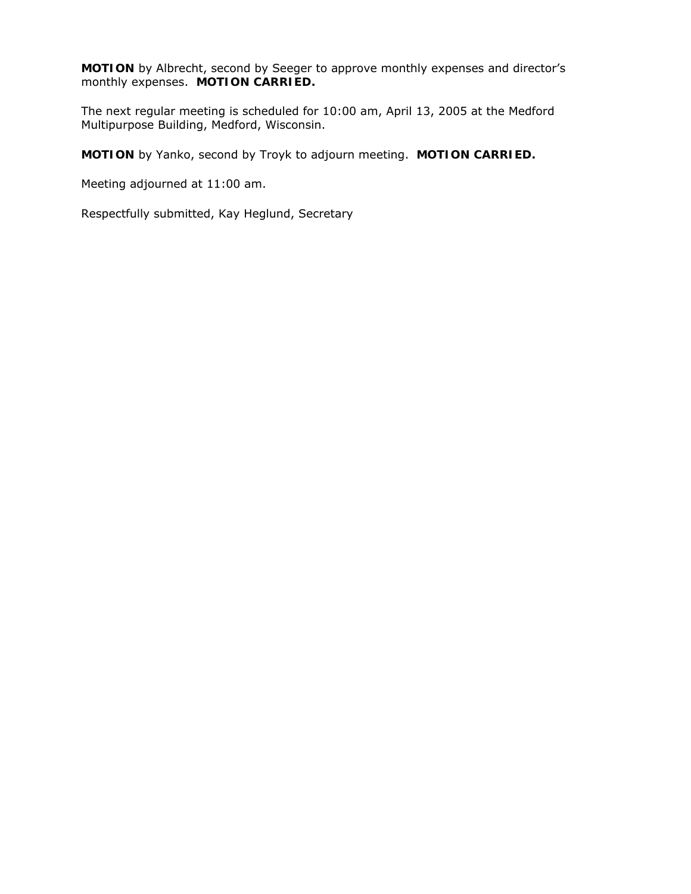**MOTION** by Albrecht, second by Seeger to approve monthly expenses and director's monthly expenses. **MOTION CARRIED.**

The next regular meeting is scheduled for 10:00 am, April 13, 2005 at the Medford Multipurpose Building, Medford, Wisconsin.

**MOTION** by Yanko, second by Troyk to adjourn meeting. **MOTION CARRIED.**

Meeting adjourned at 11:00 am.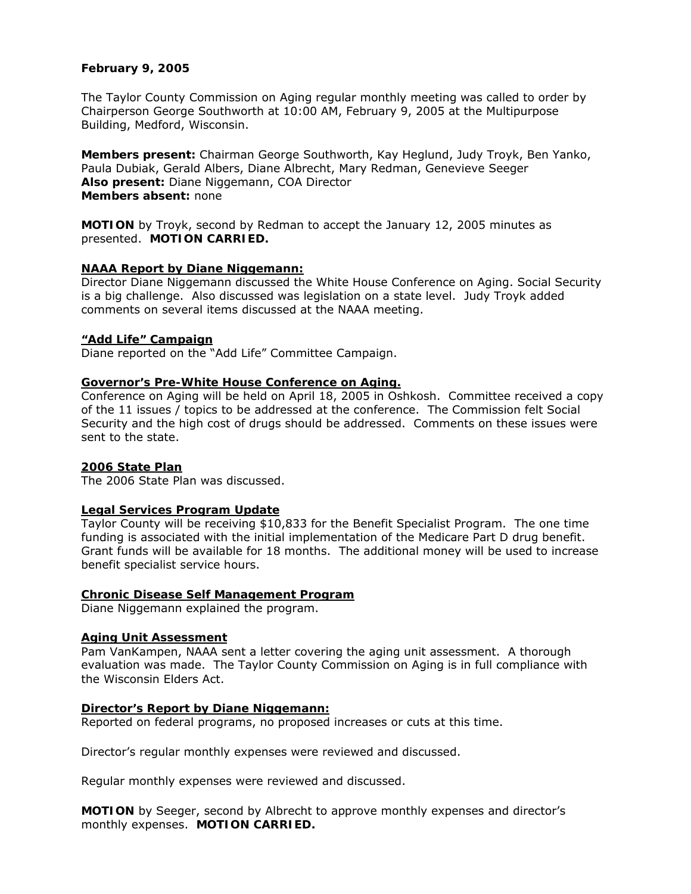## **February 9, 2005**

The Taylor County Commission on Aging regular monthly meeting was called to order by Chairperson George Southworth at 10:00 AM, February 9, 2005 at the Multipurpose Building, Medford, Wisconsin.

**Members present:** Chairman George Southworth, Kay Heglund, Judy Troyk, Ben Yanko, Paula Dubiak, Gerald Albers, Diane Albrecht, Mary Redman, Genevieve Seeger **Also present:** Diane Niggemann, COA Director **Members absent:** none

**MOTION** by Troyk, second by Redman to accept the January 12, 2005 minutes as presented. **MOTION CARRIED.**

### **NAAA Report by Diane Niggemann:**

Director Diane Niggemann discussed the White House Conference on Aging. Social Security is a big challenge. Also discussed was legislation on a state level. Judy Troyk added comments on several items discussed at the NAAA meeting.

#### **"Add Life" Campaign**

Diane reported on the "Add Life" Committee Campaign.

#### **Governor's Pre-White House Conference on Aging.**

Conference on Aging will be held on April 18, 2005 in Oshkosh. Committee received a copy of the 11 issues / topics to be addressed at the conference. The Commission felt Social Security and the high cost of drugs should be addressed. Comments on these issues were sent to the state.

### **2006 State Plan**

The 2006 State Plan was discussed.

### **Legal Services Program Update**

Taylor County will be receiving \$10,833 for the Benefit Specialist Program. The one time funding is associated with the initial implementation of the Medicare Part D drug benefit. Grant funds will be available for 18 months. The additional money will be used to increase benefit specialist service hours.

#### **Chronic Disease Self Management Program**

Diane Niggemann explained the program.

## **Aging Unit Assessment**

Pam VanKampen, NAAA sent a letter covering the aging unit assessment. A thorough evaluation was made. The Taylor County Commission on Aging is in full compliance with the Wisconsin Elders Act.

#### **Director's Report by Diane Niggemann:**

Reported on federal programs, no proposed increases or cuts at this time.

Director's regular monthly expenses were reviewed and discussed.

Regular monthly expenses were reviewed and discussed.

**MOTION** by Seeger, second by Albrecht to approve monthly expenses and director's monthly expenses. **MOTION CARRIED.**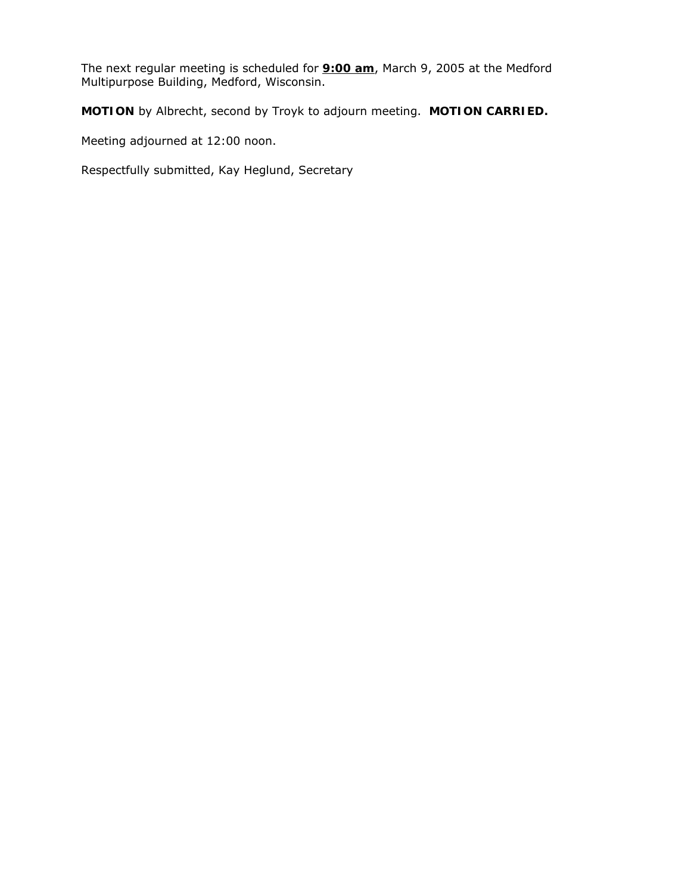The next regular meeting is scheduled for **9:00 am**, March 9, 2005 at the Medford Multipurpose Building, Medford, Wisconsin.

**MOTION** by Albrecht, second by Troyk to adjourn meeting. **MOTION CARRIED.**

Meeting adjourned at 12:00 noon.